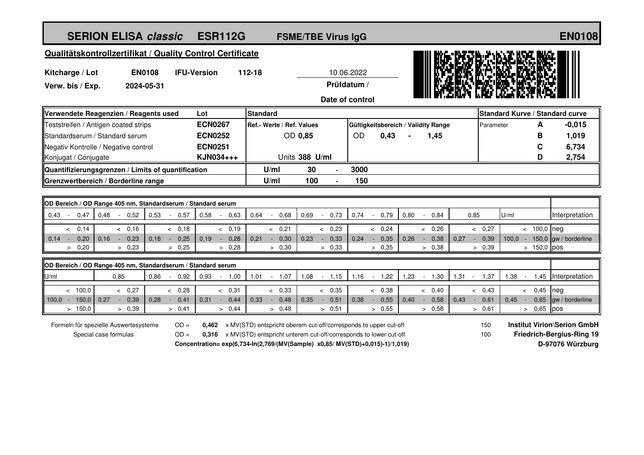| <b>SERION ELISA classic</b>                                                              | <b>ESR112G</b>                 | <b>FSME/TBE Virus IgG</b> |                 |                                     |         |                        |        |                |           |                 |               | <b>EN0108</b>                   |
|------------------------------------------------------------------------------------------|--------------------------------|---------------------------|-----------------|-------------------------------------|---------|------------------------|--------|----------------|-----------|-----------------|---------------|---------------------------------|
| Qualitätskontrollzertifikat / Quality Control Certificate                                |                                |                           |                 |                                     |         |                        |        |                |           |                 |               |                                 |
| <b>IFU-Version</b><br>Kitcharge / Lot<br><b>EN0108</b><br>Verw. bis / Exp.<br>2024-05-31 | 112-18                         |                           | Prüfdatum /     | 10.06.2022<br>Date of control       |         |                        |        |                |           |                 |               |                                 |
| Verwendete Reagenzien / Reagents used<br>Lot                                             | <b>Standard</b>                |                           |                 |                                     |         |                        |        |                |           |                 |               | Standard Kurve / Standard curve |
| Teststreifen / Antigen coated strips                                                     | <b>ECN0267</b>                 | Ref.- Werte / Ref. Values |                 | Gültigkeitsbereich / Validity Range |         |                        |        |                | Parameter |                 | A             | $-0,015$                        |
| <b>IStandardserum / Standard serum</b>                                                   | <b>ECN0252</b>                 | OD 0,85                   |                 | <b>OD</b>                           | 0,43    |                        | 1,45   |                |           |                 | в             | 1,019                           |
| Negativ Kontrolle / Negative control                                                     | <b>ECN0251</b>                 |                           |                 |                                     |         |                        |        |                |           |                 | C             | 6,734                           |
| Konjugat / Conjugate                                                                     | KJN034+++                      | Units 388 U/ml            |                 |                                     |         |                        |        |                |           |                 | D             | 2,754                           |
| Quantifizierungsgrenzen / Limits of quantification                                       |                                | 30<br>U/ml                |                 | 3000                                |         |                        |        |                |           |                 |               |                                 |
| Grenzwertbereich / Borderline range                                                      |                                | 100<br>U/ml               |                 | 150                                 |         |                        |        |                |           |                 |               |                                 |
|                                                                                          |                                |                           |                 |                                     |         |                        |        |                |           |                 |               |                                 |
| OD Bereich / OD Range 405 nm, Standardserum / Standard serum                             |                                |                           |                 |                                     |         |                        |        |                |           |                 |               |                                 |
| 0,43<br>0,48<br>0,52<br>0.53<br>0,57<br>0,47<br>$\sim$                                   | 0,58<br>0.63<br>0.64           | 0,68<br>0.69              | 0,73<br>$\sim$  | 0,74                                | 0,79    | 0,80<br>$\blacksquare$ | 0.84   | 0,85           |           | U/ml            |               | Interpretation                  |
| & 0.16<br>& 0.18<br>0,14<br>$\overline{\phantom{0}}$                                     | & 0.19                         | & 0.21                    | 0,23<br>$\prec$ |                                     | & 0.24  | $\lt$                  | 0,26   |                | & 0.27    |                 | $< 100,0$ neg |                                 |
| 0,14<br>0,20<br>0.16<br>0,23<br>0.18<br>0,25<br>$\sim$                                   | 0.19<br>0,28<br>0.21<br>$\sim$ | 0,30<br>0.23              | 0,33            | 0.24                                | 0,35    | 0.26<br>$\sim$         | 0,38   | 0.27<br>$\sim$ | 0,39      | 100.0<br>$\sim$ |               | 150,0 gw / borderline           |
| 0,20<br>> 0.23<br>> 0.25<br>$\geq$                                                       | > 0,28                         | > 0,30                    | > 0.33          |                                     | > 0.35  |                        | > 0,38 |                | > 0,39    |                 | $> 150,0$ pos |                                 |
| OD Bereich / OD Range 405 nm, Standardserum / Standard serum                             |                                |                           |                 |                                     |         |                        |        |                |           |                 |               |                                 |
| U/ml<br>0.86<br>0.85<br>$-0.92$ 0.93                                                     | $-1,00$<br>1,01                | $-1,07$<br>1,08           | $-1,15$         | 1,16                                | $-1,22$ | 1,23<br>$\sim$         | 1,30   | 1,31<br>$\sim$ | 1,37      | 1,38<br>$\sim$  |               | 1,45 Interpretation             |

| 150.0 I                               | ס פ<br>∪.∪ວ | 0.4  |       | 0.44 | 0.48. | ∪.∪                                                              | 0.55 | 0.58 | U.6    | 0.65<br><b>T</b> bos      |  |
|---------------------------------------|-------------|------|-------|------|-------|------------------------------------------------------------------|------|------|--------|---------------------------|--|
| Formeln für spezielle Auswertesysteme |             | OD = | 0,462 |      |       | x MV(STD) entspricht oberem cut-off/corresponds to upper cut-off |      |      | $\sim$ | <b>Institut Virion\Se</b> |  |

Special case formulas

OD = 0,462 x MV(STD) entspricht oberem cut-off/corresponds to upper cut-off **Institut Virion\Serion GmbH** 

OD = 0,316 x MV(STD) entspricht unterem cut-off/corresponds to lower cut-off **Friedrich-Bergius-Ring 19** 

<sup>&</sup>lt; 100,0 <sup>&</sup>lt; 0,27 <sup>&</sup>lt; 0,28 <sup>&</sup>lt; 0,31 <sup>&</sup>lt; 0,33 <sup>&</sup>lt; 0,35 <sup>&</sup>lt; 0,38 <sup>&</sup>lt; 0,40 <sup>&</sup>lt; 0,43 <sup>&</sup>lt; 0,45 neg 100,0 - 150,0 0,27 - 0,39 0,28 - 0,41 0,31 - 0,44 0,33 - 0,48 0,35 - 0,51 0,38 - 0,55 0,40 - 0,58 0,43 - 0,61 0,45 - 0,65 gw / borderline

**Concentration= exp(6,734-In(2,769/(MV(Sample) x0,85/ MV(STD)+0,015)-1)/1,019) D-97076 Würzburg**

150 100